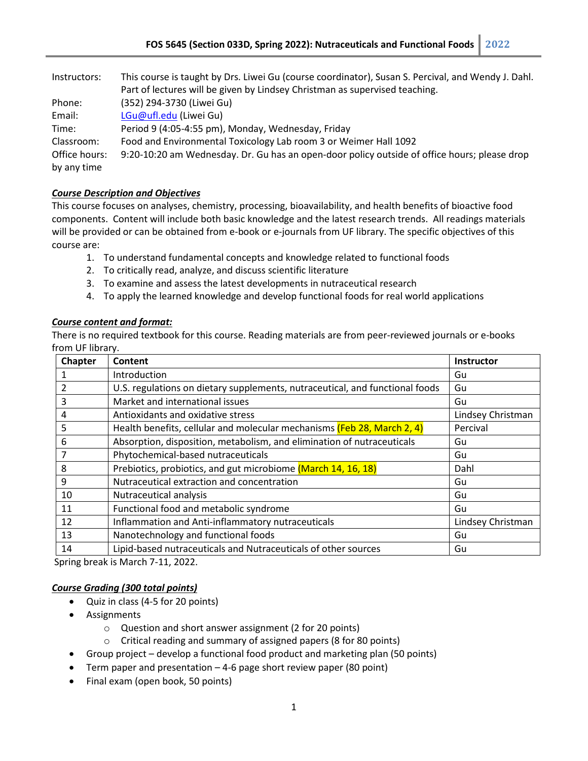| Instructors:  | This course is taught by Drs. Liwei Gu (course coordinator), Susan S. Percival, and Wendy J. Dahl. |  |
|---------------|----------------------------------------------------------------------------------------------------|--|
|               | Part of lectures will be given by Lindsey Christman as supervised teaching.                        |  |
| Phone:        | (352) 294-3730 (Liwei Gu)                                                                          |  |
| Email:        | LGu@ufl.edu (Liwei Gu)                                                                             |  |
| Time:         | Period 9 (4:05-4:55 pm), Monday, Wednesday, Friday                                                 |  |
| Classroom:    | Food and Environmental Toxicology Lab room 3 or Weimer Hall 1092                                   |  |
| Office hours: | 9:20-10:20 am Wednesday. Dr. Gu has an open-door policy outside of office hours; please drop       |  |
| by any time   |                                                                                                    |  |

## *Course Description and Objectives*

This course focuses on analyses, chemistry, processing, bioavailability, and health benefits of bioactive food components. Content will include both basic knowledge and the latest research trends. All readings materials will be provided or can be obtained from e-book or e-journals from UF library. The specific objectives of this course are:

- 1. To understand fundamental concepts and knowledge related to functional foods
- 2. To critically read, analyze, and discuss scientific literature
- 3. To examine and assess the latest developments in nutraceutical research
- 4. To apply the learned knowledge and develop functional foods for real world applications

## *Course content and format:*

There is no required textbook for this course. Reading materials are from peer-reviewed journals or e-books from UF library.

| Chapter | Content                                                                      | Instructor        |
|---------|------------------------------------------------------------------------------|-------------------|
|         | Introduction                                                                 | Gu                |
| 2       | U.S. regulations on dietary supplements, nutraceutical, and functional foods | Gu                |
| 3       | Market and international issues                                              | Gu                |
| 4       | Antioxidants and oxidative stress                                            | Lindsey Christman |
| 5       | Health benefits, cellular and molecular mechanisms (Feb 28, March 2, 4)      | Percival          |
| 6       | Absorption, disposition, metabolism, and elimination of nutraceuticals       | Gu                |
|         | Phytochemical-based nutraceuticals                                           | Gu                |
| 8       | Prebiotics, probiotics, and gut microbiome (March 14, 16, 18)                | Dahl              |
| 9       | Nutraceutical extraction and concentration                                   | Gu                |
| 10      | Nutraceutical analysis                                                       | Gu                |
| 11      | Functional food and metabolic syndrome                                       | Gu                |
| 12      | Inflammation and Anti-inflammatory nutraceuticals                            | Lindsey Christman |
| 13      | Nanotechnology and functional foods                                          | Gu                |
| 14      | Lipid-based nutraceuticals and Nutraceuticals of other sources               | Gu                |

Spring break is March 7-11, 2022.

## *Course Grading (300 total points)*

- Quiz in class (4-5 for 20 points)
- Assignments
	- o Question and short answer assignment (2 for 20 points)
	- o Critical reading and summary of assigned papers (8 for 80 points)
- Group project develop a functional food product and marketing plan (50 points)
- Term paper and presentation 4-6 page short review paper (80 point)
- Final exam (open book, 50 points)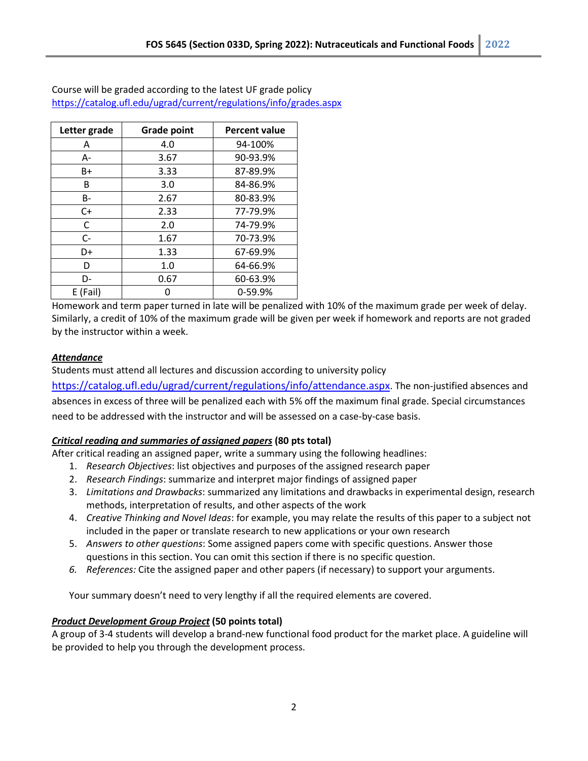| Letter grade | <b>Grade point</b> | <b>Percent value</b> |
|--------------|--------------------|----------------------|
| Α            | 4.0                | 94-100%              |
| А-           | 3.67               | 90-93.9%             |
| B+           | 3.33               | 87-89.9%             |
| B            | 3.0                | 84-86.9%             |
| <b>B-</b>    | 2.67               | 80-83.9%             |
| $C+$         | 2.33               | 77-79.9%             |
| C            | 2.0                | 74-79.9%             |
| $C-$         | 1.67               | 70-73.9%             |
| D+           | 1.33               | 67-69.9%             |
| D            | 1.0                | 64-66.9%             |
| D-           | 0.67               | 60-63.9%             |
| E (Fail)     |                    | $0-59.9%$            |

Course will be graded according to the latest UF grade policy <https://catalog.ufl.edu/ugrad/current/regulations/info/grades.aspx>

Homework and term paper turned in late will be penalized with 10% of the maximum grade per week of delay. Similarly, a credit of 10% of the maximum grade will be given per week if homework and reports are not graded by the instructor within a week.

## *Attendance*

Students must attend all lectures and discussion according to university policy [https://catalog.ufl.edu/ugrad/current/regulations/info/attendance.aspx.](https://catalog.ufl.edu/ugrad/current/regulations/info/attendance.aspx) The non-justified absences and absences in excess of three will be penalized each with 5% off the maximum final grade. Special circumstances need to be addressed with the instructor and will be assessed on a case-by-case basis.

## *Critical reading and summaries of assigned papers* **(80 pts total)**

After critical reading an assigned paper, write a summary using the following headlines:

- 1. *Research Objectives*: list objectives and purposes of the assigned research paper
- 2. *Research Findings*: summarize and interpret major findings of assigned paper
- 3. *Limitations and Drawbacks*: summarized any limitations and drawbacks in experimental design, research methods, interpretation of results, and other aspects of the work
- 4. *Creative Thinking and Novel Ideas*: for example, you may relate the results of this paper to a subject not included in the paper or translate research to new applications or your own research
- 5. *Answers to other questions*: Some assigned papers come with specific questions. Answer those questions in this section. You can omit this section if there is no specific question.
- *6. References:* Cite the assigned paper and other papers (if necessary) to support your arguments.

Your summary doesn't need to very lengthy if all the required elements are covered.

## *Product Development Group Project* **(50 points total)**

A group of 3-4 students will develop a brand-new functional food product for the market place. A guideline will be provided to help you through the development process.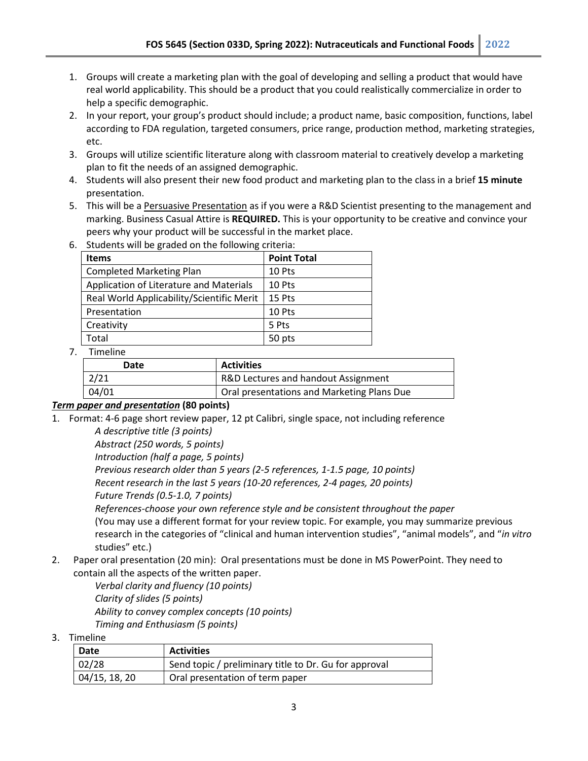- 1. Groups will create a marketing plan with the goal of developing and selling a product that would have real world applicability. This should be a product that you could realistically commercialize in order to help a specific demographic.
- 2. In your report, your group's product should include; a product name, basic composition, functions, label according to FDA regulation, targeted consumers, price range, production method, marketing strategies, etc.
- 3. Groups will utilize scientific literature along with classroom material to creatively develop a marketing plan to fit the needs of an assigned demographic.
- 4. Students will also present their new food product and marketing plan to the class in a brief **15 minute** presentation.
- 5. This will be a Persuasive Presentation as if you were a R&D Scientist presenting to the management and marking. Business Casual Attire is **REQUIRED.** This is your opportunity to be creative and convince your peers why your product will be successful in the market place.

| <b>Items</b>                              | <b>Point Total</b> |
|-------------------------------------------|--------------------|
| <b>Completed Marketing Plan</b>           | 10 Pts             |
| Application of Literature and Materials   | 10 Pts             |
| Real World Applicability/Scientific Merit | 15 Pts             |
| Presentation                              | 10 Pts             |
| Creativity                                | 5 Pts              |
| Total                                     | 50 pts             |

6. Students will be graded on the following criteria:

7. Timeline

| Date  | <b>Activities</b>                          |
|-------|--------------------------------------------|
| 2/21  | R&D Lectures and handout Assignment        |
| 04/01 | Oral presentations and Marketing Plans Due |

# *Term paper and presentation* **(80 points)**

1. Format: 4-6 page short review paper, 12 pt Calibri, single space, not including reference

*A descriptive title (3 points) Abstract (250 words, 5 points) Introduction (half a page, 5 points) Previous research older than 5 years (2-5 references, 1-1.5 page, 10 points) Recent research in the last 5 years (10-20 references, 2-4 pages, 20 points) Future Trends (0.5-1.0, 7 points) References-choose your own reference style and be consistent throughout the paper* (You may use a different format for your review topic. For example, you may summarize previous research in the categories of "clinical and human intervention studies", "animal models", and "*in vitro* studies" etc.)

2. Paper oral presentation (20 min): Oral presentations must be done in MS PowerPoint. They need to contain all the aspects of the written paper.

*Verbal clarity and fluency (10 points) Clarity of slides (5 points) Ability to convey complex concepts (10 points) Timing and Enthusiasm (5 points)*

3. Timeline

| Date          | <b>Activities</b>                                     |
|---------------|-------------------------------------------------------|
| 02/28         | Send topic / preliminary title to Dr. Gu for approval |
| 04/15, 18, 20 | Oral presentation of term paper                       |